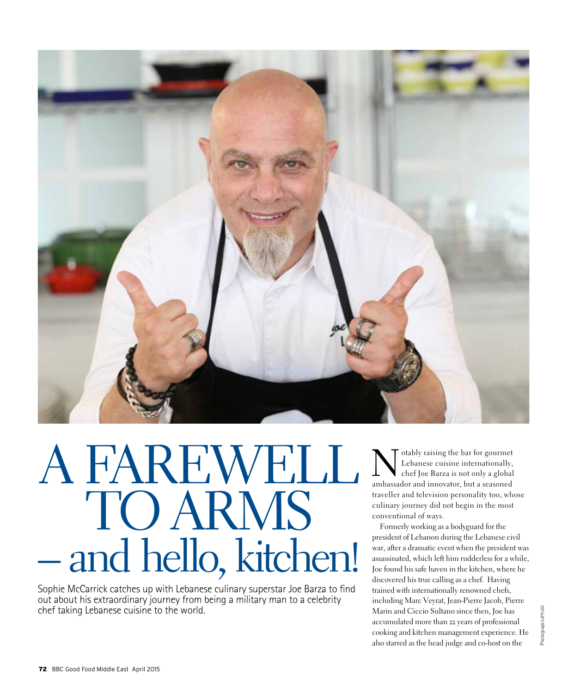

# – and hello, kitchen! A FAREWELI TO ARMS

Sophie McCarrick catches up with Lebanese culinary superstar Joe Barza to find out about his extraordinary journey from being a military man to a celebrity chef taking Lebanese cuisine to the world.

Motably raising the bar for gourmet<br>
Lebanese cuisine internationally,<br>
chef Joe Barza is not only a global<br>
ambasseder and innovator, but a seasoned Lebanese cuisine internationally, ambassador and innovator, but a seasoned traveller and television personality too, whose culinary journey did not begin in the most conventional of ways.

Formerly working as a bodyguard for the president of Lebanon during the Lebanese civil war, after a dramatic event when the president was assassinated, which left him rudderless for a while, Joe found his safe haven in the kitchen, where he discovered his true calling as a chef. Having trained with internationally renowned chefs, including Marc Veyrat, Jean-Pierre Jacob, Pierre Marin and Ciccio Sultano since then, Joe has accumulated more than 22 years of professional cooking and kitchen management experience. He also starred as the head judge and co-host on the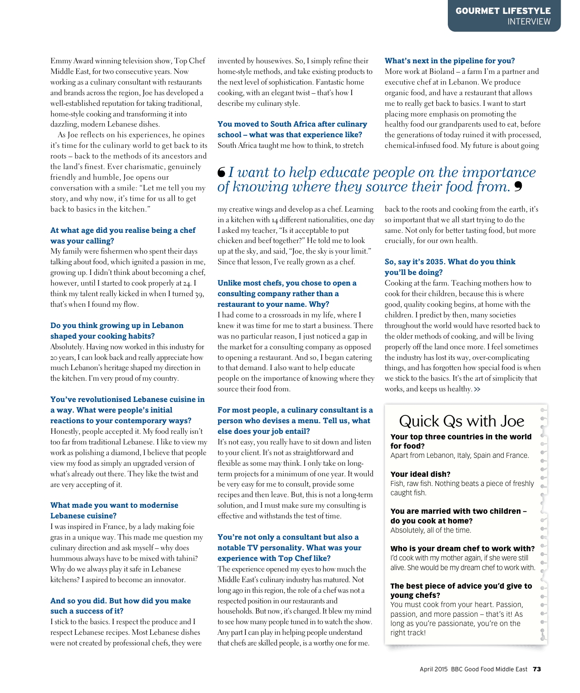Emmy Award winning television show, Top Chef Middle East, for two consecutive years. Now working as a culinary consultant with restaurants and brands across the region, Joe has developed a well-established reputation for taking traditional, home-style cooking and transforming it into dazzling, modern Lebanese dishes.

As Joe reflects on his experiences, he opines it's time for the culinary world to get back to its roots – back to the methods of its ancestors and the land's finest. Ever charismatic, genuinely friendly and humble, Joe opens our conversation with a smile: "Let me tell you my story, and why now, it's time for us all to get back to basics in the kitchen."

#### **At what age did you realise being a chef was your calling?**

My family were fishermen who spent their days talking about food, which ignited a passion in me, growing up. I didn't think about becoming a chef, however, until I started to cook properly at 24. I think my talent really kicked in when I turned 39, that's when I found my flow.

#### **Do you think growing up in Lebanon shaped your cooking habits?**

Absolutely. Having now worked in this industry for 20 years, I can look back and really appreciate how much Lebanon's heritage shaped my direction in the kitchen. I'm very proud of my country.

#### **You've revolutionised Lebanese cuisine in a way. What were people's initial reactions to your contemporary ways?**

Honestly, people accepted it. My food really isn't too far from traditional Lebanese. I like to view my work as polishing a diamond, I believe that people view my food as simply an upgraded version of what's already out there. They like the twist and are very accepting of it.

#### **What made you want to modernise Lebanese cuisine?**

I was inspired in France, by a lady making foie gras in a unique way. This made me question my culinary direction and ask myself – why does hummous always have to be mixed with tahini? Why do we always play it safe in Lebanese kitchens? I aspired to become an innovator.

#### **And so you did. But how did you make such a success of it?**

I stick to the basics. I respect the produce and I respect Lebanese recipes. Most Lebanese dishes were not created by professional chefs, they were invented by housewives. So, I simply refine their home-style methods, and take existing products to the next level of sophistication. Fantastic home cooking, with an elegant twist – that's how I describe my culinary style.

**You moved to South Africa after culinary school – what was that experience like?** South Africa taught me how to think, to stretch

#### **What's next in the pipeline for you?**

More work at Bioland – a farm I'm a partner and executive chef at in Lebanon. We produce organic food, and have a restaurant that allows me to really get back to basics. I want to start placing more emphasis on promoting the healthy food our grandparents used to eat, before the generations of today ruined it with processed, chemical-infused food. My future is about going

### *I want to help educate people on the importance of knowing where they source their food from.*

my creative wings and develop as a chef. Learning in a kitchen with 14 different nationalities, one day I asked my teacher, "Is it acceptable to put chicken and beef together?" He told me to look up at the sky, and said, "Joe, the sky is your limit." Since that lesson, I've really grown as a chef.

#### **Unlike most chefs, you chose to open a consulting company rather than a restaurant to your name. Why?**

I had come to a crossroads in my life, where I knew it was time for me to start a business. There was no particular reason, I just noticed a gap in the market for a consulting company as opposed to opening a restaurant. And so, I began catering to that demand. I also want to help educate people on the importance of knowing where they source their food from.

#### **For most people, a culinary consultant is a person who devises a menu. Tell us, what else does your job entail?**

It's not easy, you really have to sit down and listen to your client. It's not as straightforward and flexible as some may think. I only take on longterm projects for a minimum of one year. It would be very easy for me to consult, provide some recipes and then leave. But, this is not a long-term solution, and I must make sure my consulting is effective and withstands the test of time.

#### **You're not only a consultant but also a notable TV personality. What was your experience with Top Chef like?**

The experience opened my eyes to how much the Middle East's culinary industry has matured. Not long ago in this region, the role of a chef was not a respected position in our restaurants and households. But now, it's changed. It blew my mind to see how many people tuned in to watch the show. Any part I can play in helping people understand that chefs are skilled people, is a worthy one for me.

back to the roots and cooking from the earth, it's so important that we all start trying to do the same. Not only for better tasting food, but more crucially, for our own health.

#### **So, say it's 2035. What do you think you'll be doing?**

Cooking at the farm. Teaching mothers how to cook for their children, because this is where good, quality cooking begins, at home with the children. I predict by then, many societies throughout the world would have resorted back to the older methods of cooking, and will be living properly off the land once more. I feel sometimes the industry has lost its way, over-complicating things, and has forgotten how special food is when we stick to the basics. It's the art of simplicity that works, and keeps us healthy.

## Quick Qs with Joe

#### Your top three countries in the world for food?

Apart from Lebanon, Italy, Spain and France.

#### Your ideal dish?

Fish, raw fish. Nothing beats a piece of freshly caught fish.

#### You are married with two children – do you cook at home?

Absolutely, all of the time.

#### Who is your dream chef to work with?

I'd cook with my mother again, if she were still alive. She would be my dream chef to work with.

#### The best piece of advice you'd give to young chefs?

You must cook from your heart. Passion, passion, and more passion – that's it! As long as you're passionate, you're on the right track!

 $\frac{1}{2}$  $\ddot{\phantom{a}}$  $\oplus$ 8